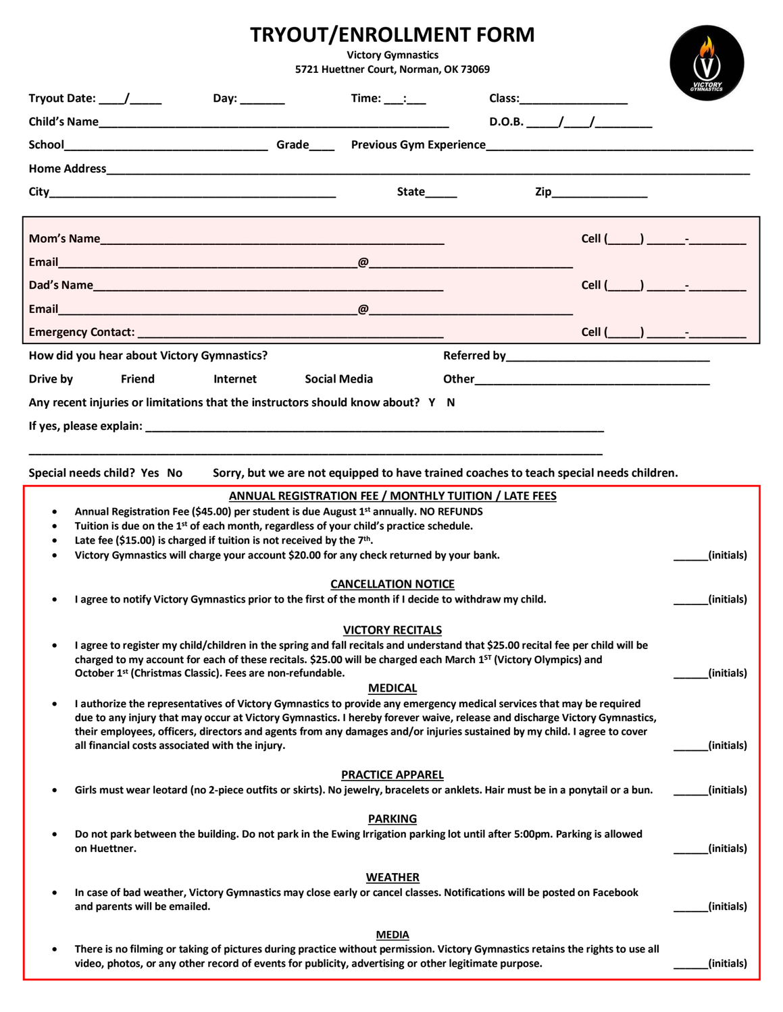## **TRYOUT/ENROLLMENT FORM Victory Gymnastics 5721 Huettner Court, Norman, OK 73069**

|           | Tryout Date: $\_\_\_\_\_\_\_\_\_\_\_\_\$                                                                                                                                                                                                                                                                                                                                                                                                       |  | Day: _______ |  | $Time:$ $\_\_\_\_\_\_\_\_\_\_\_\_$                                                                                                                                                                                                                                                                                                                          |  |  |  | Class:___________________ |            |
|-----------|------------------------------------------------------------------------------------------------------------------------------------------------------------------------------------------------------------------------------------------------------------------------------------------------------------------------------------------------------------------------------------------------------------------------------------------------|--|--------------|--|-------------------------------------------------------------------------------------------------------------------------------------------------------------------------------------------------------------------------------------------------------------------------------------------------------------------------------------------------------------|--|--|--|---------------------------|------------|
|           |                                                                                                                                                                                                                                                                                                                                                                                                                                                |  |              |  |                                                                                                                                                                                                                                                                                                                                                             |  |  |  |                           |            |
|           |                                                                                                                                                                                                                                                                                                                                                                                                                                                |  |              |  |                                                                                                                                                                                                                                                                                                                                                             |  |  |  |                           |            |
|           |                                                                                                                                                                                                                                                                                                                                                                                                                                                |  |              |  |                                                                                                                                                                                                                                                                                                                                                             |  |  |  |                           |            |
|           |                                                                                                                                                                                                                                                                                                                                                                                                                                                |  |              |  | State_____                                                                                                                                                                                                                                                                                                                                                  |  |  |  | <b>Zip</b> 2008           |            |
|           |                                                                                                                                                                                                                                                                                                                                                                                                                                                |  |              |  |                                                                                                                                                                                                                                                                                                                                                             |  |  |  | $Cell$ $)$ $-$            |            |
|           |                                                                                                                                                                                                                                                                                                                                                                                                                                                |  |              |  |                                                                                                                                                                                                                                                                                                                                                             |  |  |  |                           |            |
|           |                                                                                                                                                                                                                                                                                                                                                                                                                                                |  |              |  |                                                                                                                                                                                                                                                                                                                                                             |  |  |  | Cell ( ) - ( )            |            |
|           |                                                                                                                                                                                                                                                                                                                                                                                                                                                |  |              |  |                                                                                                                                                                                                                                                                                                                                                             |  |  |  |                           |            |
|           |                                                                                                                                                                                                                                                                                                                                                                                                                                                |  |              |  |                                                                                                                                                                                                                                                                                                                                                             |  |  |  | Cell $(\_\_\_\_\_\_\$     |            |
|           | How did you hear about Victory Gymnastics?                                                                                                                                                                                                                                                                                                                                                                                                     |  |              |  |                                                                                                                                                                                                                                                                                                                                                             |  |  |  |                           |            |
| Drive by  | <b>Friend</b>                                                                                                                                                                                                                                                                                                                                                                                                                                  |  | Internet     |  | <b>Social Media</b>                                                                                                                                                                                                                                                                                                                                         |  |  |  |                           |            |
|           |                                                                                                                                                                                                                                                                                                                                                                                                                                                |  |              |  | Any recent injuries or limitations that the instructors should know about? Y N                                                                                                                                                                                                                                                                              |  |  |  |                           |            |
|           |                                                                                                                                                                                                                                                                                                                                                                                                                                                |  |              |  |                                                                                                                                                                                                                                                                                                                                                             |  |  |  |                           |            |
|           |                                                                                                                                                                                                                                                                                                                                                                                                                                                |  |              |  |                                                                                                                                                                                                                                                                                                                                                             |  |  |  |                           |            |
|           | Special needs child? Yes No                                                                                                                                                                                                                                                                                                                                                                                                                    |  |              |  | Sorry, but we are not equipped to have trained coaches to teach special needs children.                                                                                                                                                                                                                                                                     |  |  |  |                           |            |
|           | Late fee (\$15.00) is charged if tuition is not received by the 7th.                                                                                                                                                                                                                                                                                                                                                                           |  |              |  | ANNUAL REGISTRATION FEE / MONTHLY TUITION / LATE FEES<br>Annual Registration Fee (\$45.00) per student is due August 1 <sup>st</sup> annually. NO REFUNDS<br>Tuition is due on the 1 <sup>st</sup> of each month, regardless of your child's practice schedule.<br>Victory Gymnastics will charge your account \$20.00 for any check returned by your bank. |  |  |  |                           | (initials) |
|           |                                                                                                                                                                                                                                                                                                                                                                                                                                                |  |              |  |                                                                                                                                                                                                                                                                                                                                                             |  |  |  |                           |            |
| $\bullet$ |                                                                                                                                                                                                                                                                                                                                                                                                                                                |  |              |  | <b>CANCELLATION NOTICE</b><br>I agree to notify Victory Gymnastics prior to the first of the month if I decide to withdraw my child.                                                                                                                                                                                                                        |  |  |  |                           | (initials) |
|           |                                                                                                                                                                                                                                                                                                                                                                                                                                                |  |              |  |                                                                                                                                                                                                                                                                                                                                                             |  |  |  |                           |            |
|           | <b>VICTORY RECITALS</b><br>I agree to register my child/children in the spring and fall recitals and understand that \$25.00 recital fee per child will be<br>charged to my account for each of these recitals. \$25.00 will be charged each March 1 <sup>5T</sup> (Victory Olympics) and<br>October 1st (Christmas Classic). Fees are non-refundable.<br>(initials)                                                                           |  |              |  |                                                                                                                                                                                                                                                                                                                                                             |  |  |  |                           |            |
| $\bullet$ |                                                                                                                                                                                                                                                                                                                                                                                                                                                |  |              |  | <b>MEDICAL</b>                                                                                                                                                                                                                                                                                                                                              |  |  |  |                           |            |
|           | I authorize the representatives of Victory Gymnastics to provide any emergency medical services that may be required<br>due to any injury that may occur at Victory Gymnastics. I hereby forever waive, release and discharge Victory Gymnastics,<br>their employees, officers, directors and agents from any damages and/or injuries sustained by my child. I agree to cover<br>all financial costs associated with the injury.<br>(initials) |  |              |  |                                                                                                                                                                                                                                                                                                                                                             |  |  |  |                           |            |
|           |                                                                                                                                                                                                                                                                                                                                                                                                                                                |  |              |  | <b>PRACTICE APPAREL</b>                                                                                                                                                                                                                                                                                                                                     |  |  |  |                           |            |
|           |                                                                                                                                                                                                                                                                                                                                                                                                                                                |  |              |  | Girls must wear leotard (no 2-piece outfits or skirts). No jewelry, bracelets or anklets. Hair must be in a ponytail or a bun.                                                                                                                                                                                                                              |  |  |  |                           | (initials) |
| $\bullet$ | <b>PARKING</b><br>Do not park between the building. Do not park in the Ewing Irrigation parking lot until after 5:00pm. Parking is allowed<br>on Huettner.<br>(initials)                                                                                                                                                                                                                                                                       |  |              |  |                                                                                                                                                                                                                                                                                                                                                             |  |  |  |                           |            |
|           | and parents will be emailed.                                                                                                                                                                                                                                                                                                                                                                                                                   |  |              |  | <b>WEATHER</b><br>In case of bad weather, Victory Gymnastics may close early or cancel classes. Notifications will be posted on Facebook                                                                                                                                                                                                                    |  |  |  |                           | (initials) |
| $\bullet$ |                                                                                                                                                                                                                                                                                                                                                                                                                                                |  |              |  | <b>MEDIA</b><br>There is no filming or taking of pictures during practice without permission. Victory Gymnastics retains the rights to use all                                                                                                                                                                                                              |  |  |  |                           |            |
|           |                                                                                                                                                                                                                                                                                                                                                                                                                                                |  |              |  | video, photos, or any other record of events for publicity, advertising or other legitimate purpose.                                                                                                                                                                                                                                                        |  |  |  |                           | (initials) |